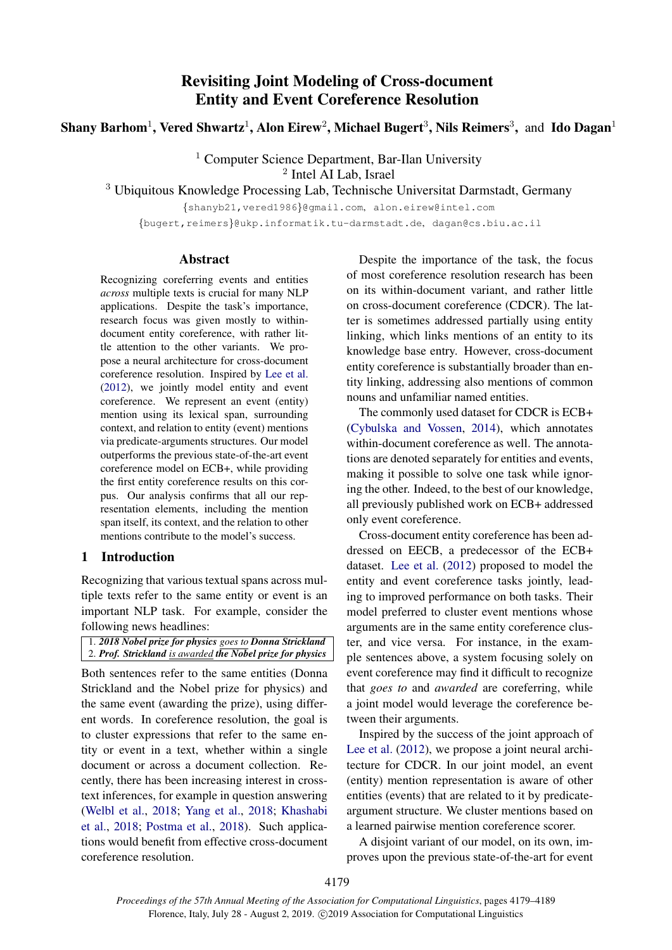# Revisiting Joint Modeling of Cross-document Entity and Event Coreference Resolution

Shany Barhom $^1$ , Vered Shwartz $^1$ , Alon Eirew $^2$ , Michael Bugert $^3$ , Nils Reimers $^3$ , and Ido Dagan $^1$ 

<sup>1</sup> Computer Science Department, Bar-Ilan University 2 Intel AI Lab, Israel

<sup>3</sup> Ubiquitous Knowledge Processing Lab, Technische Universitat Darmstadt, Germany

{shanyb21,vered1986}@gmail.com, alon.eirew@intel.com

{bugert,reimers}@ukp.informatik.tu-darmstadt.de, dagan@cs.biu.ac.il

#### Abstract

Recognizing coreferring events and entities *across* multiple texts is crucial for many NLP applications. Despite the task's importance, research focus was given mostly to withindocument entity coreference, with rather little attention to the other variants. We propose a neural architecture for cross-document coreference resolution. Inspired by [Lee et al.](#page-9-0) [\(2012\)](#page-9-0), we jointly model entity and event coreference. We represent an event (entity) mention using its lexical span, surrounding context, and relation to entity (event) mentions via predicate-arguments structures. Our model outperforms the previous state-of-the-art event coreference model on ECB+, while providing the first entity coreference results on this corpus. Our analysis confirms that all our representation elements, including the mention span itself, its context, and the relation to other mentions contribute to the model's success.

#### 1 Introduction

Recognizing that various textual spans across multiple texts refer to the same entity or event is an important NLP task. For example, consider the following news headlines:

| 1. 2018 Nobel prize for physics goes to Donna Strickland   |
|------------------------------------------------------------|
| 2. Prof. Strickland is awarded the Nobel prize for physics |

Both sentences refer to the same entities (Donna Strickland and the Nobel prize for physics) and the same event (awarding the prize), using different words. In coreference resolution, the goal is to cluster expressions that refer to the same entity or event in a text, whether within a single document or across a document collection. Recently, there has been increasing interest in crosstext inferences, for example in question answering [\(Welbl et al.,](#page-10-0) [2018;](#page-10-0) [Yang et al.,](#page-10-1) [2018;](#page-10-1) [Khashabi](#page-9-1) [et al.,](#page-9-1) [2018;](#page-9-1) [Postma et al.,](#page-9-2) [2018\)](#page-9-2). Such applications would benefit from effective cross-document coreference resolution.

Despite the importance of the task, the focus of most coreference resolution research has been on its within-document variant, and rather little on cross-document coreference (CDCR). The latter is sometimes addressed partially using entity linking, which links mentions of an entity to its knowledge base entry. However, cross-document entity coreference is substantially broader than entity linking, addressing also mentions of common nouns and unfamiliar named entities.

The commonly used dataset for CDCR is ECB+ [\(Cybulska and Vossen,](#page-8-0) [2014\)](#page-8-0), which annotates within-document coreference as well. The annotations are denoted separately for entities and events, making it possible to solve one task while ignoring the other. Indeed, to the best of our knowledge, all previously published work on ECB+ addressed only event coreference.

Cross-document entity coreference has been addressed on EECB, a predecessor of the ECB+ dataset. [Lee et al.](#page-9-0) [\(2012\)](#page-9-0) proposed to model the entity and event coreference tasks jointly, leading to improved performance on both tasks. Their model preferred to cluster event mentions whose arguments are in the same entity coreference cluster, and vice versa. For instance, in the example sentences above, a system focusing solely on event coreference may find it difficult to recognize that *goes to* and *awarded* are coreferring, while a joint model would leverage the coreference between their arguments.

Inspired by the success of the joint approach of [Lee et al.](#page-9-0)  $(2012)$ , we propose a joint neural architecture for CDCR. In our joint model, an event (entity) mention representation is aware of other entities (events) that are related to it by predicateargument structure. We cluster mentions based on a learned pairwise mention coreference scorer.

A disjoint variant of our model, on its own, improves upon the previous state-of-the-art for event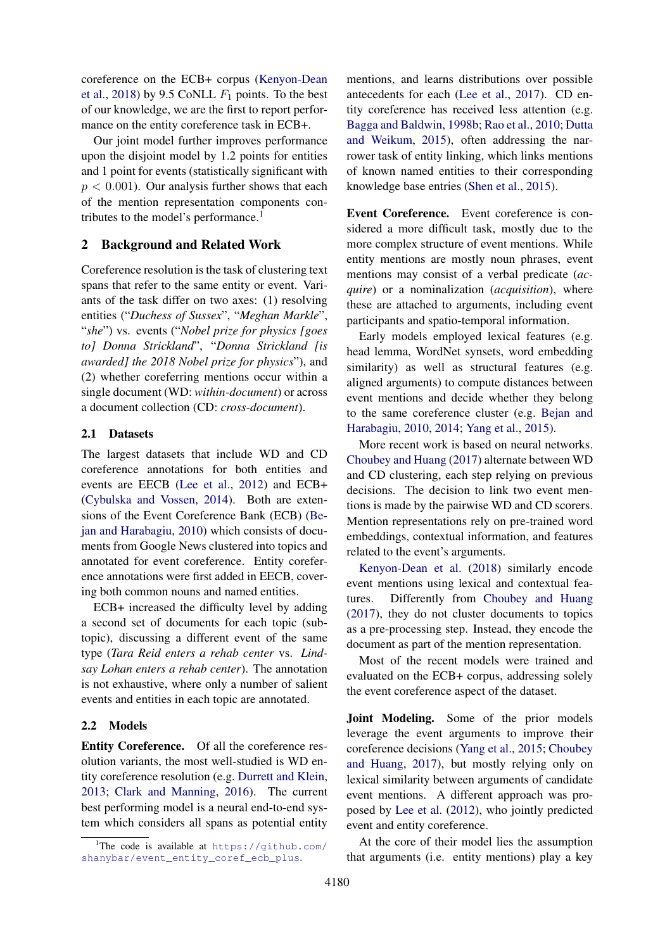coreference on the ECB+ corpus [\(Kenyon-Dean](#page-9-3) [et al.,](#page-9-3) [2018\)](#page-9-3) by 9.5 CoNLL  $F_1$  points. To the best of our knowledge, we are the first to report performance on the entity coreference task in ECB+.

Our joint model further improves performance upon the disjoint model by 1.2 points for entities and 1 point for events (statistically significant with  $p < 0.001$ ). Our analysis further shows that each of the mention representation components con-tributes to the model's performance.<sup>[1](#page-1-0)</sup>

### 2 Background and Related Work

Coreference resolution is the task of clustering text spans that refer to the same entity or event. Variants of the task differ on two axes: (1) resolving entities ("*Duchess of Sussex*", "*Meghan Markle*", "*she*") vs. events ("*Nobel prize for physics [goes to] Donna Strickland*", "*Donna Strickland [is awarded] the 2018 Nobel prize for physics*"), and (2) whether coreferring mentions occur within a single document (WD: *within-document*) or across a document collection (CD: *cross-document*).

### 2.1 Datasets

The largest datasets that include WD and CD coreference annotations for both entities and events are EECB [\(Lee et al.,](#page-9-0) [2012\)](#page-9-0) and ECB+ [\(Cybulska and Vossen,](#page-8-0) [2014\)](#page-8-0). Both are extensions of the Event Coreference Bank (ECB) [\(Be](#page-8-1)[jan and Harabagiu,](#page-8-1) [2010\)](#page-8-1) which consists of documents from Google News clustered into topics and annotated for event coreference. Entity coreference annotations were first added in EECB, covering both common nouns and named entities.

ECB+ increased the difficulty level by adding a second set of documents for each topic (subtopic), discussing a different event of the same type (*Tara Reid enters a rehab center* vs. *Lindsay Lohan enters a rehab center*). The annotation is not exhaustive, where only a number of salient events and entities in each topic are annotated.

#### 2.2 Models

Entity Coreference. Of all the coreference resolution variants, the most well-studied is WD entity coreference resolution (e.g. [Durrett and Klein,](#page-8-2) [2013;](#page-8-2) [Clark and Manning,](#page-8-3) [2016\)](#page-8-3). The current best performing model is a neural end-to-end system which considers all spans as potential entity

mentions, and learns distributions over possible antecedents for each [\(Lee et al.,](#page-9-4) [2017\)](#page-9-4). CD entity coreference has received less attention (e.g. [Bagga and Baldwin,](#page-8-4) [1998b;](#page-8-4) [Rao et al.,](#page-10-2) [2010;](#page-10-2) [Dutta](#page-9-5) [and Weikum,](#page-9-5) [2015\)](#page-9-5), often addressing the narrower task of entity linking, which links mentions of known named entities to their corresponding knowledge base entries [\(Shen et al.,](#page-10-3) [2015\)](#page-10-3).

Event Coreference. Event coreference is considered a more difficult task, mostly due to the more complex structure of event mentions. While entity mentions are mostly noun phrases, event mentions may consist of a verbal predicate (*acquire*) or a nominalization (*acquisition*), where these are attached to arguments, including event participants and spatio-temporal information.

Early models employed lexical features (e.g. head lemma, WordNet synsets, word embedding similarity) as well as structural features (e.g. aligned arguments) to compute distances between event mentions and decide whether they belong to the same coreference cluster (e.g. [Bejan and](#page-8-1) [Harabagiu,](#page-8-1) [2010,](#page-8-1) [2014;](#page-8-5) [Yang et al.,](#page-10-4) [2015\)](#page-10-4).

More recent work is based on neural networks. [Choubey and Huang](#page-8-6) [\(2017\)](#page-8-6) alternate between WD and CD clustering, each step relying on previous decisions. The decision to link two event mentions is made by the pairwise WD and CD scorers. Mention representations rely on pre-trained word embeddings, contextual information, and features related to the event's arguments.

[Kenyon-Dean et al.](#page-9-3) [\(2018\)](#page-9-3) similarly encode event mentions using lexical and contextual features. Differently from [Choubey and Huang](#page-8-6) [\(2017\)](#page-8-6), they do not cluster documents to topics as a pre-processing step. Instead, they encode the document as part of the mention representation.

Most of the recent models were trained and evaluated on the ECB+ corpus, addressing solely the event coreference aspect of the dataset.

Joint Modeling. Some of the prior models leverage the event arguments to improve their coreference decisions [\(Yang et al.,](#page-10-4) [2015;](#page-10-4) [Choubey](#page-8-6) [and Huang,](#page-8-6) [2017\)](#page-8-6), but mostly relying only on lexical similarity between arguments of candidate event mentions. A different approach was proposed by [Lee et al.](#page-9-0) [\(2012\)](#page-9-0), who jointly predicted event and entity coreference.

At the core of their model lies the assumption that arguments (i.e. entity mentions) play a key

<span id="page-1-0"></span><sup>&</sup>lt;sup>1</sup>The code is available at  $https://github.com/$ [shanybar/event\\_entity\\_coref\\_ecb\\_plus](https://github.com/shanybar/event_entity_coref_ecb_plus).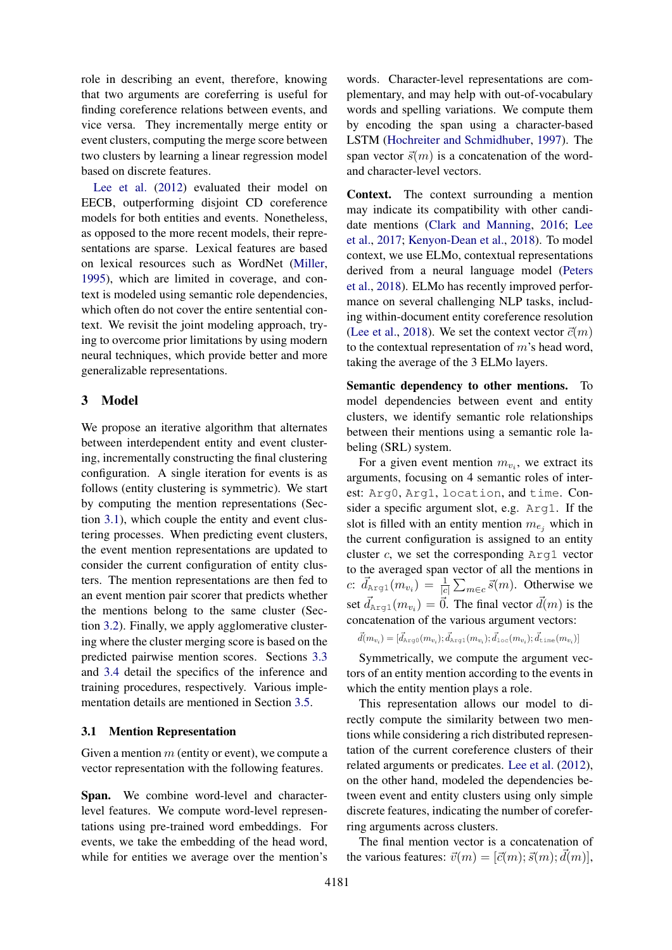role in describing an event, therefore, knowing that two arguments are coreferring is useful for finding coreference relations between events, and vice versa. They incrementally merge entity or event clusters, computing the merge score between two clusters by learning a linear regression model based on discrete features.

[Lee et al.](#page-9-0) [\(2012\)](#page-9-0) evaluated their model on EECB, outperforming disjoint CD coreference models for both entities and events. Nonetheless, as opposed to the more recent models, their representations are sparse. Lexical features are based on lexical resources such as WordNet [\(Miller,](#page-9-6) [1995\)](#page-9-6), which are limited in coverage, and context is modeled using semantic role dependencies, which often do not cover the entire sentential context. We revisit the joint modeling approach, trying to overcome prior limitations by using modern neural techniques, which provide better and more generalizable representations.

### 3 Model

We propose an iterative algorithm that alternates between interdependent entity and event clustering, incrementally constructing the final clustering configuration. A single iteration for events is as follows (entity clustering is symmetric). We start by computing the mention representations (Section [3.1\)](#page-2-0), which couple the entity and event clustering processes. When predicting event clusters, the event mention representations are updated to consider the current configuration of entity clusters. The mention representations are then fed to an event mention pair scorer that predicts whether the mentions belong to the same cluster (Section [3.2\)](#page-3-0). Finally, we apply agglomerative clustering where the cluster merging score is based on the predicted pairwise mention scores. Sections [3.3](#page-3-1) and [3.4](#page-3-2) detail the specifics of the inference and training procedures, respectively. Various implementation details are mentioned in Section [3.5.](#page-4-0)

#### <span id="page-2-0"></span>3.1 Mention Representation

Given a mention  $m$  (entity or event), we compute a vector representation with the following features.

Span. We combine word-level and characterlevel features. We compute word-level representations using pre-trained word embeddings. For events, we take the embedding of the head word, while for entities we average over the mention's

words. Character-level representations are complementary, and may help with out-of-vocabulary words and spelling variations. We compute them by encoding the span using a character-based LSTM [\(Hochreiter and Schmidhuber,](#page-9-7) [1997\)](#page-9-7). The span vector  $\vec{s}(m)$  is a concatenation of the wordand character-level vectors.

Context. The context surrounding a mention may indicate its compatibility with other candidate mentions [\(Clark and Manning,](#page-8-3) [2016;](#page-8-3) [Lee](#page-9-4) [et al.,](#page-9-4) [2017;](#page-9-4) [Kenyon-Dean et al.,](#page-9-3) [2018\)](#page-9-3). To model context, we use ELMo, contextual representations derived from a neural language model [\(Peters](#page-9-8) [et al.,](#page-9-8) [2018\)](#page-9-8). ELMo has recently improved performance on several challenging NLP tasks, including within-document entity coreference resolution [\(Lee et al.,](#page-9-9) [2018\)](#page-9-9). We set the context vector  $\vec{c}(m)$ to the contextual representation of  $m$ 's head word, taking the average of the 3 ELMo layers.

Semantic dependency to other mentions. To model dependencies between event and entity clusters, we identify semantic role relationships between their mentions using a semantic role labeling (SRL) system.

For a given event mention  $m_{v_i}$ , we extract its arguments, focusing on 4 semantic roles of interest: Arg0, Arg1, location, and time. Consider a specific argument slot, e.g. Arg1. If the slot is filled with an entity mention  $m_{e_i}$  which in the current configuration is assigned to an entity cluster  $c$ , we set the corresponding  $Arg1$  vector to the averaged span vector of all the mentions in c:  $\vec{d}_{\text{Arg1}}(m_{v_i}) = \frac{1}{|c|} \sum_{m \in c} \vec{s}(m)$ . Otherwise we set  $\vec{d}_{\text{Arg1}}(m_{v_i}) = \vec{0}$ . The final vector  $\vec{d}(m)$  is the concatenation of the various argument vectors:

$$
\vec{d}(m_{v_i}) = [\vec{d}_{\text{Arg0}}(m_{v_i}); \vec{d}_{\text{Arg1}}(m_{v_i}); \vec{d}_{\text{loc}}(m_{v_i}); \vec{d}_{\text{time}}(m_{v_i})]
$$

Symmetrically, we compute the argument vectors of an entity mention according to the events in which the entity mention plays a role.

This representation allows our model to directly compute the similarity between two mentions while considering a rich distributed representation of the current coreference clusters of their related arguments or predicates. [Lee et al.](#page-9-0) [\(2012\)](#page-9-0), on the other hand, modeled the dependencies between event and entity clusters using only simple discrete features, indicating the number of coreferring arguments across clusters.

The final mention vector is a concatenation of the various features:  $\vec{v}(m) = [\vec{c}(m); \vec{s}(m); \vec{d}(m)],$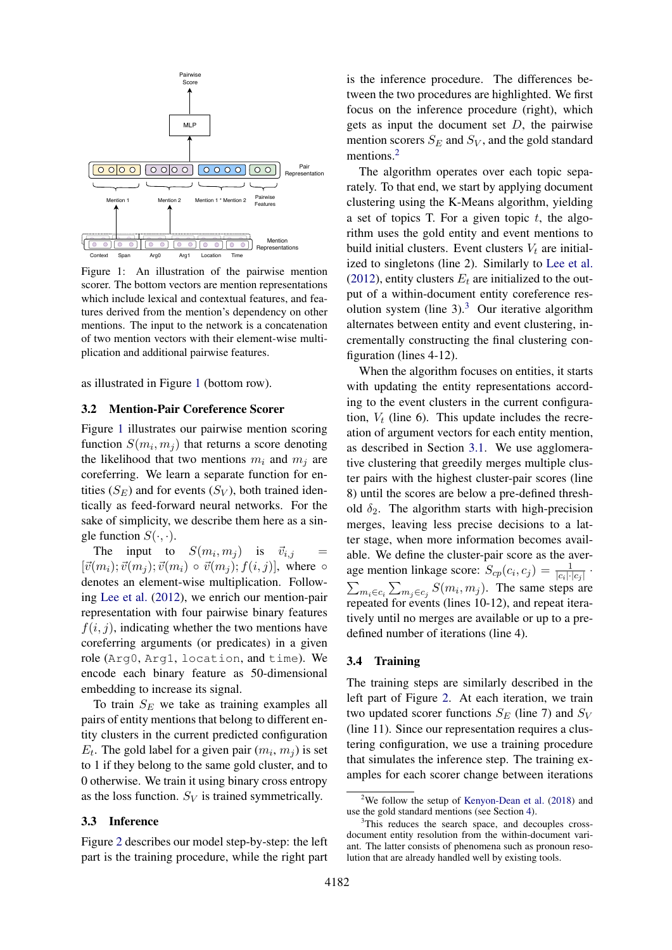<span id="page-3-3"></span>

Figure 1: An illustration of the pairwise mention scorer. The bottom vectors are mention representations which include lexical and contextual features, and features derived from the mention's dependency on other mentions. The input to the network is a concatenation of two mention vectors with their element-wise multiplication and additional pairwise features.

as illustrated in Figure [1](#page-3-3) (bottom row).

#### <span id="page-3-0"></span>3.2 Mention-Pair Coreference Scorer

Figure [1](#page-3-3) illustrates our pairwise mention scoring function  $S(m_i, m_j)$  that returns a score denoting the likelihood that two mentions  $m_i$  and  $m_j$  are coreferring. We learn a separate function for entities  $(S_E)$  and for events  $(S_V)$ , both trained identically as feed-forward neural networks. For the sake of simplicity, we describe them here as a single function  $S(\cdot, \cdot)$ .

The input to  $S(m_i, m_j)$  is  $\vec{v}_{i,j}$  =  $[\vec{v}(m_i); \vec{v}(m_j); \vec{v}(m_i) \circ \vec{v}(m_j); f(i, j)]$ , where  $\circ$ denotes an element-wise multiplication. Following [Lee et al.](#page-9-0) [\(2012\)](#page-9-0), we enrich our mention-pair representation with four pairwise binary features  $f(i, j)$ , indicating whether the two mentions have coreferring arguments (or predicates) in a given role (Arg0, Arg1, location, and time). We encode each binary feature as 50-dimensional embedding to increase its signal.

To train  $S_E$  we take as training examples all pairs of entity mentions that belong to different entity clusters in the current predicted configuration  $E_t$ . The gold label for a given pair  $(m_i, m_j)$  is set to 1 if they belong to the same gold cluster, and to 0 otherwise. We train it using binary cross entropy as the loss function.  $S_V$  is trained symmetrically.

#### <span id="page-3-1"></span>3.3 Inference

Figure [2](#page-4-1) describes our model step-by-step: the left part is the training procedure, while the right part

is the inference procedure. The differences between the two procedures are highlighted. We first focus on the inference procedure (right), which gets as input the document set  $D$ , the pairwise mention scorers  $S_E$  and  $S_V$ , and the gold standard mentions.<sup>[2](#page-3-4)</sup>

The algorithm operates over each topic separately. To that end, we start by applying document clustering using the K-Means algorithm, yielding a set of topics T. For a given topic  $t$ , the algorithm uses the gold entity and event mentions to build initial clusters. Event clusters  $V_t$  are initialized to singletons (line 2). Similarly to [Lee et al.](#page-9-0) [\(2012\)](#page-9-0), entity clusters  $E_t$  are initialized to the output of a within-document entity coreference res-olution system (line [3](#page-3-5)).<sup>3</sup> Our iterative algorithm alternates between entity and event clustering, incrementally constructing the final clustering configuration (lines 4-12).

When the algorithm focuses on entities, it starts with updating the entity representations according to the event clusters in the current configuration,  $V_t$  (line 6). This update includes the recreation of argument vectors for each entity mention, as described in Section [3.1.](#page-2-0) We use agglomerative clustering that greedily merges multiple cluster pairs with the highest cluster-pair scores (line 8) until the scores are below a pre-defined threshold  $\delta_2$ . The algorithm starts with high-precision merges, leaving less precise decisions to a latter stage, when more information becomes available. We define the cluster-pair score as the average mention linkage score:  $S_{cp}(c_i, c_j) = \frac{1}{|c_i| \cdot |c_j|}$ .  $\sum_{m_i \in c_i} \sum_{m_j \in c_j} S(m_i, m_j)$ . The same steps are repeated for events (lines 10-12), and repeat iteratively until no merges are available or up to a predefined number of iterations (line 4).

#### <span id="page-3-2"></span>3.4 Training

The training steps are similarly described in the left part of Figure [2.](#page-4-1) At each iteration, we train two updated scorer functions  $S_E$  (line 7) and  $S_V$ (line 11). Since our representation requires a clustering configuration, we use a training procedure that simulates the inference step. The training examples for each scorer change between iterations

<span id="page-3-4"></span><sup>2</sup>We follow the setup of [Kenyon-Dean et al.](#page-9-3) [\(2018\)](#page-9-3) and use the gold standard mentions (see Section [4\)](#page-5-0).

<span id="page-3-5"></span><sup>&</sup>lt;sup>3</sup>This reduces the search space, and decouples crossdocument entity resolution from the within-document variant. The latter consists of phenomena such as pronoun resolution that are already handled well by existing tools.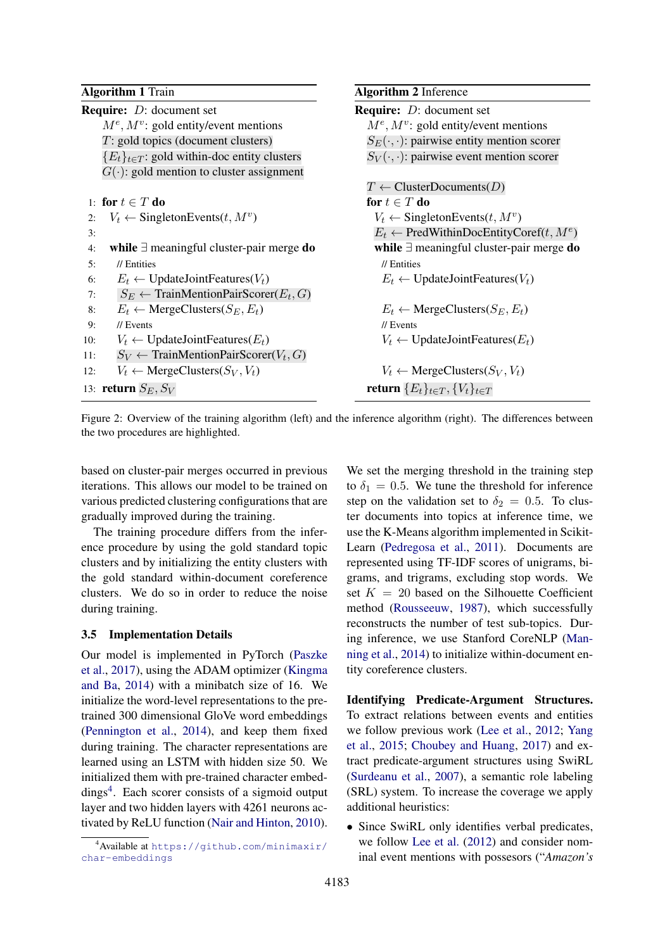<span id="page-4-1"></span>

| <b>Algorithm 1 Train</b>                                   | <b>Algorithm 2</b> Inference                         |
|------------------------------------------------------------|------------------------------------------------------|
| <b>Require:</b> $D$ : document set                         | <b>Require:</b> <i>D</i> : document set              |
| $M^e, M^v$ : gold entity/event mentions                    | $M^e, M^v$ : gold entity/event mentions              |
| $T:$ gold topics (document clusters)                       | $S_E(\cdot, \cdot)$ : pairwise entity mention scorer |
| ${E_t}_{t \in T}$ : gold within-doc entity clusters        | $S_V(\cdot, \cdot)$ : pairwise event mention scorer  |
| $G(\cdot)$ : gold mention to cluster assignment            |                                                      |
|                                                            | $T \leftarrow$ ClusterDocuments( <i>D</i> )          |
| 1: for $t \in T$ do                                        | for $t \in T$ do                                     |
| $V_t \leftarrow$ Singleton Events $(t, M^v)$<br>2:         | $V_t \leftarrow$ Singleton Events $(t, M^v)$         |
| 3:                                                         | $E_t \leftarrow$ PredWithinDocEntityCoref $(t, M^e)$ |
| while $\exists$ meaningful cluster-pair merge do<br>4:     | while $\exists$ meaningful cluster-pair merge do     |
| 5:<br>// Entities                                          | $\frac{\pi}{2}$ Entities                             |
| $E_t \leftarrow$ UpdateJointFeatures( $V_t$ )<br>6:        | $E_t \leftarrow$ UpdateJointFeatures( $V_t$ )        |
| $S_E \leftarrow$ TrainMentionPairScorer( $E_t$ , G)<br>7:  |                                                      |
| $E_t \leftarrow \text{MergeClusters}(S_E, E_t)$<br>8:      | $E_t \leftarrow$ MergeClusters( $S_E, E_t$ )         |
| 9:<br>$\frac{\pi}{2}$ Events                               | $\frac{\pi}{2}$ Events                               |
| $V_t \leftarrow$ UpdateJointFeatures( $E_t$ )<br>10:       | $V_t \leftarrow$ UpdateJointFeatures( $E_t$ )        |
| $S_V \leftarrow$ TrainMentionPairScorer( $V_t$ , G)<br>11: |                                                      |
| $V_t \leftarrow \text{MergeClusters}(S_V, V_t)$<br>12:     | $V_t \leftarrow \text{MergeClusters}(S_V, V_t)$      |
| 13: <b>return</b> $S_E, S_V$                               | return ${E_t}_{t \in T}$ , ${V_t}_{t \in T}$         |

Figure 2: Overview of the training algorithm (left) and the inference algorithm (right). The differences between the two procedures are highlighted.

based on cluster-pair merges occurred in previous iterations. This allows our model to be trained on various predicted clustering configurations that are gradually improved during the training.

The training procedure differs from the inference procedure by using the gold standard topic clusters and by initializing the entity clusters with the gold standard within-document coreference clusters. We do so in order to reduce the noise during training.

#### <span id="page-4-0"></span>3.5 Implementation Details

Our model is implemented in PyTorch [\(Paszke](#page-9-10) [et al.,](#page-9-10) [2017\)](#page-9-10), using the ADAM optimizer [\(Kingma](#page-9-11) [and Ba,](#page-9-11) [2014\)](#page-9-11) with a minibatch size of 16. We initialize the word-level representations to the pretrained 300 dimensional GloVe word embeddings [\(Pennington et al.,](#page-9-12) [2014\)](#page-9-12), and keep them fixed during training. The character representations are learned using an LSTM with hidden size 50. We initialized them with pre-trained character embed-dings<sup>[4](#page-4-2)</sup>. Each scorer consists of a sigmoid output layer and two hidden layers with 4261 neurons activated by ReLU function [\(Nair and Hinton,](#page-9-13) [2010\)](#page-9-13).

We set the merging threshold in the training step to  $\delta_1 = 0.5$ . We tune the threshold for inference step on the validation set to  $\delta_2 = 0.5$ . To cluster documents into topics at inference time, we use the K-Means algorithm implemented in Scikit-Learn [\(Pedregosa et al.,](#page-9-14) [2011\)](#page-9-14). Documents are represented using TF-IDF scores of unigrams, bigrams, and trigrams, excluding stop words. We set  $K = 20$  based on the Silhouette Coefficient method [\(Rousseeuw,](#page-10-5) [1987\)](#page-10-5), which successfully reconstructs the number of test sub-topics. During inference, we use Stanford CoreNLP [\(Man](#page-9-15)[ning et al.,](#page-9-15) [2014\)](#page-9-15) to initialize within-document entity coreference clusters.

Identifying Predicate-Argument Structures. To extract relations between events and entities we follow previous work [\(Lee et al.,](#page-9-0) [2012;](#page-9-0) [Yang](#page-10-4) [et al.,](#page-10-4) [2015;](#page-10-4) [Choubey and Huang,](#page-8-6) [2017\)](#page-8-6) and extract predicate-argument structures using SwiRL [\(Surdeanu et al.,](#page-10-6) [2007\)](#page-10-6), a semantic role labeling (SRL) system. To increase the coverage we apply additional heuristics:

• Since SwiRL only identifies verbal predicates, we follow [Lee et al.](#page-9-0) [\(2012\)](#page-9-0) and consider nominal event mentions with possesors ("*Amazon's*

<span id="page-4-2"></span><sup>4</sup>Available at [https://github.com/minimaxir/](https://github.com/minimaxir/char-embeddings) [char-embeddings](https://github.com/minimaxir/char-embeddings)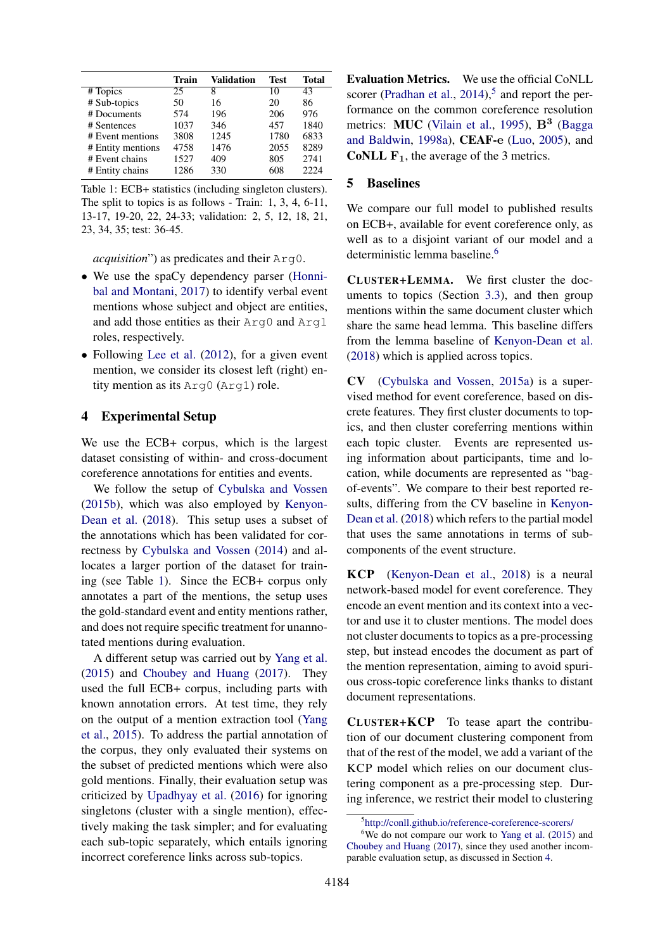<span id="page-5-1"></span>

|                   | Train | <b>Validation</b> | <b>Test</b> | <b>Total</b> |
|-------------------|-------|-------------------|-------------|--------------|
| # Topics          | 25    | 8                 | 10          | 43           |
| # Sub-topics      | 50    | 16                | 20          | 86           |
| # Documents       | 574   | 196               | 206         | 976          |
| # Sentences       | 1037  | 346               | 457         | 1840         |
| # Event mentions  | 3808  | 1245              | 1780        | 6833         |
| # Entity mentions | 4758  | 1476              | 2055        | 8289         |
| # Event chains    | 1527  | 409               | 805         | 2741         |
| # Entity chains   | 1286  | 330               | 608         | 2224         |

Table 1: ECB+ statistics (including singleton clusters). The split to topics is as follows - Train: 1, 3, 4, 6-11, 13-17, 19-20, 22, 24-33; validation: 2, 5, 12, 18, 21, 23, 34, 35; test: 36-45.

*acquisition*") as predicates and their Arg0.

- We use the spaCy dependency parser [\(Honni](#page-9-16)[bal and Montani,](#page-9-16) [2017\)](#page-9-16) to identify verbal event mentions whose subject and object are entities, and add those entities as their Arg0 and Arg1 roles, respectively.
- Following [Lee et al.](#page-9-0) [\(2012\)](#page-9-0), for a given event mention, we consider its closest left (right) entity mention as its Arg0 (Arg1) role.

### <span id="page-5-0"></span>4 Experimental Setup

We use the ECB+ corpus, which is the largest dataset consisting of within- and cross-document coreference annotations for entities and events.

We follow the setup of [Cybulska and Vossen](#page-8-7) [\(2015b\)](#page-8-7), which was also employed by [Kenyon-](#page-9-3)[Dean et al.](#page-9-3) [\(2018\)](#page-9-3). This setup uses a subset of the annotations which has been validated for correctness by [Cybulska and Vossen](#page-8-0) [\(2014\)](#page-8-0) and allocates a larger portion of the dataset for training (see Table [1\)](#page-5-1). Since the ECB+ corpus only annotates a part of the mentions, the setup uses the gold-standard event and entity mentions rather, and does not require specific treatment for unannotated mentions during evaluation.

A different setup was carried out by [Yang et al.](#page-10-4) [\(2015\)](#page-10-4) and [Choubey and Huang](#page-8-6) [\(2017\)](#page-8-6). They used the full ECB+ corpus, including parts with known annotation errors. At test time, they rely on the output of a mention extraction tool [\(Yang](#page-10-4) [et al.,](#page-10-4) [2015\)](#page-10-4). To address the partial annotation of the corpus, they only evaluated their systems on the subset of predicted mentions which were also gold mentions. Finally, their evaluation setup was criticized by [Upadhyay et al.](#page-10-7) [\(2016\)](#page-10-7) for ignoring singletons (cluster with a single mention), effectively making the task simpler; and for evaluating each sub-topic separately, which entails ignoring incorrect coreference links across sub-topics.

Evaluation Metrics. We use the official CoNLL scorer [\(Pradhan et al.,](#page-10-8)  $2014$ ),<sup>[5](#page-5-2)</sup> and report the performance on the common coreference resolution metrics: MUC [\(Vilain et al.,](#page-10-9) [1995\)](#page-10-9), B<sup>3</sup> [\(Bagga](#page-8-8) [and Baldwin,](#page-8-8) [1998a\)](#page-8-8), CEAF-e [\(Luo,](#page-9-17) [2005\)](#page-9-17), and **CoNLL F<sub>1</sub>**, the average of the 3 metrics.

### 5 Baselines

We compare our full model to published results on ECB+, available for event coreference only, as well as to a disjoint variant of our model and a deterministic lemma baseline.<sup>[6](#page-5-3)</sup>

CLUSTER+LEMMA. We first cluster the documents to topics (Section [3.3\)](#page-3-1), and then group mentions within the same document cluster which share the same head lemma. This baseline differs from the lemma baseline of [Kenyon-Dean et al.](#page-9-3) [\(2018\)](#page-9-3) which is applied across topics.

CV [\(Cybulska and Vossen,](#page-8-9) [2015a\)](#page-8-9) is a supervised method for event coreference, based on discrete features. They first cluster documents to topics, and then cluster coreferring mentions within each topic cluster. Events are represented using information about participants, time and location, while documents are represented as "bagof-events". We compare to their best reported results, differing from the CV baseline in [Kenyon-](#page-9-3)[Dean et al.](#page-9-3) [\(2018\)](#page-9-3) which refers to the partial model that uses the same annotations in terms of subcomponents of the event structure.

KCP [\(Kenyon-Dean et al.,](#page-9-3) [2018\)](#page-9-3) is a neural network-based model for event coreference. They encode an event mention and its context into a vector and use it to cluster mentions. The model does not cluster documents to topics as a pre-processing step, but instead encodes the document as part of the mention representation, aiming to avoid spurious cross-topic coreference links thanks to distant document representations.

CLUSTER+KCP To tease apart the contribution of our document clustering component from that of the rest of the model, we add a variant of the KCP model which relies on our document clustering component as a pre-processing step. During inference, we restrict their model to clustering

<span id="page-5-3"></span><span id="page-5-2"></span><sup>5</sup> <http://conll.github.io/reference-coreference-scorers/>

 $6W$ e do not compare our work to [Yang et al.](#page-10-4) [\(2015\)](#page-10-4) and [Choubey and Huang](#page-8-6) [\(2017\)](#page-8-6), since they used another incomparable evaluation setup, as discussed in Section [4.](#page-5-0)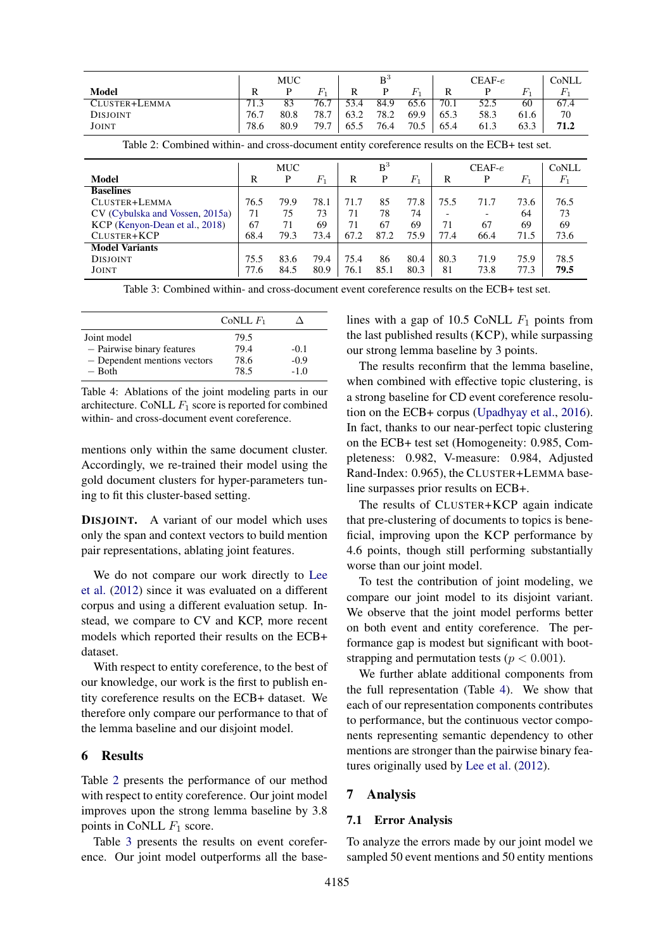<span id="page-6-0"></span>

|                 |      | MUC  |         |      | $B^3$ |         |      | $CEAF-e$ |      | CoNLL   |
|-----------------|------|------|---------|------|-------|---------|------|----------|------|---------|
| Model           | R    | P    | $F_{1}$ |      | P     | $F_{1}$ | R    |          |      | $F_{1}$ |
| CLUSTER+LEMMA   | 71.3 | 83   | 76.7    | 53.4 | 84.9  | 65.6    | 70.1 | 52.5     | 60   | 67.4    |
| <b>DISJOINT</b> | 76.7 | 80.8 | 78.7    | 63.2 | 78.2  | 69.9    | 65.3 | 58.3     | 61.6 | 70      |
| JOINT           | 78.6 | 80.9 | 79.7    | 65.5 | 76.4  | 70.5    | 65.4 | 61.3     | 63.3 | 71.2    |

Table 2: Combined within- and cross-document entity coreference results on the ECB+ test set.

<span id="page-6-1"></span>

|                                 |      | MUC  |       |      | B <sup>3</sup> |       |      | $CEAF-e$                 |       | CoNLL              |
|---------------------------------|------|------|-------|------|----------------|-------|------|--------------------------|-------|--------------------|
| Model                           | R    | P    | $F_1$ | R    | P              | $F_1$ | R    | P                        | $F_1$ | $\scriptstyle F_1$ |
| <b>Baselines</b>                |      |      |       |      |                |       |      |                          |       |                    |
| CLUSTER+LEMMA                   | 76.5 | 79.9 | 78.1  | 71.7 | 85             | 77.8  | 75.5 | 71.7                     | 73.6  | 76.5               |
| CV (Cybulska and Vossen, 2015a) | 71   | 75   | 73    | 71   | 78             | 74    |      | $\overline{\phantom{a}}$ | 64    | 73                 |
| KCP (Kenyon-Dean et al., 2018)  | 67   | 71   | 69    | 71   | 67             | 69    | 71   | 67                       | 69    | 69                 |
| CLUSTER+KCP                     | 68.4 | 79.3 | 73.4  | 67.2 | 87.2           | 75.9  | 77.4 | 66.4                     | 71.5  | 73.6               |
| <b>Model Variants</b>           |      |      |       |      |                |       |      |                          |       |                    |
| <b>DISJOINT</b>                 | 75.5 | 83.6 | 79.4  | 75.4 | 86             | 80.4  | 80.3 | 71.9                     | 75.9  | 78.5               |
| <b>JOINT</b>                    | 77.6 | 84.5 | 80.9  | 76.1 | 85.1           | 80.3  | 81   | 73.8                     | 77.3  | 79.5               |

Table 3: Combined within- and cross-document event coreference results on the ECB+ test set.

<span id="page-6-2"></span>

|                              | CoNLL $F_1$ |        |
|------------------------------|-------------|--------|
| Joint model                  | 79.5        |        |
| - Pairwise binary features   | 79.4        | $-0.1$ |
| - Dependent mentions vectors | 78.6        | $-0.9$ |
| $-$ Both                     | 78.5        | $-1.0$ |

Table 4: Ablations of the joint modeling parts in our architecture. CoNLL  $F_1$  score is reported for combined within- and cross-document event coreference.

mentions only within the same document cluster. Accordingly, we re-trained their model using the gold document clusters for hyper-parameters tuning to fit this cluster-based setting.

DISJOINT. A variant of our model which uses only the span and context vectors to build mention pair representations, ablating joint features.

We do not compare our work directly to [Lee](#page-9-0) [et al.](#page-9-0) [\(2012\)](#page-9-0) since it was evaluated on a different corpus and using a different evaluation setup. Instead, we compare to CV and KCP, more recent models which reported their results on the ECB+ dataset.

With respect to entity coreference, to the best of our knowledge, our work is the first to publish entity coreference results on the ECB+ dataset. We therefore only compare our performance to that of the lemma baseline and our disjoint model.

#### 6 Results

Table [2](#page-6-0) presents the performance of our method with respect to entity coreference. Our joint model improves upon the strong lemma baseline by 3.8 points in CoNLL  $F_1$  score.

Table [3](#page-6-1) presents the results on event coreference. Our joint model outperforms all the baselines with a gap of 10.5 CoNLL  $F_1$  points from the last published results (KCP), while surpassing our strong lemma baseline by 3 points.

The results reconfirm that the lemma baseline, when combined with effective topic clustering, is a strong baseline for CD event coreference resolution on the ECB+ corpus [\(Upadhyay et al.,](#page-10-7) [2016\)](#page-10-7). In fact, thanks to our near-perfect topic clustering on the ECB+ test set (Homogeneity: 0.985, Completeness: 0.982, V-measure: 0.984, Adjusted Rand-Index: 0.965), the CLUSTER+LEMMA baseline surpasses prior results on ECB+.

The results of CLUSTER+KCP again indicate that pre-clustering of documents to topics is beneficial, improving upon the KCP performance by 4.6 points, though still performing substantially worse than our joint model.

To test the contribution of joint modeling, we compare our joint model to its disjoint variant. We observe that the joint model performs better on both event and entity coreference. The performance gap is modest but significant with bootstrapping and permutation tests ( $p < 0.001$ ).

We further ablate additional components from the full representation (Table [4\)](#page-6-2). We show that each of our representation components contributes to performance, but the continuous vector components representing semantic dependency to other mentions are stronger than the pairwise binary features originally used by [Lee et al.](#page-9-0) [\(2012\)](#page-9-0).

#### 7 Analysis

#### 7.1 Error Analysis

To analyze the errors made by our joint model we sampled 50 event mentions and 50 entity mentions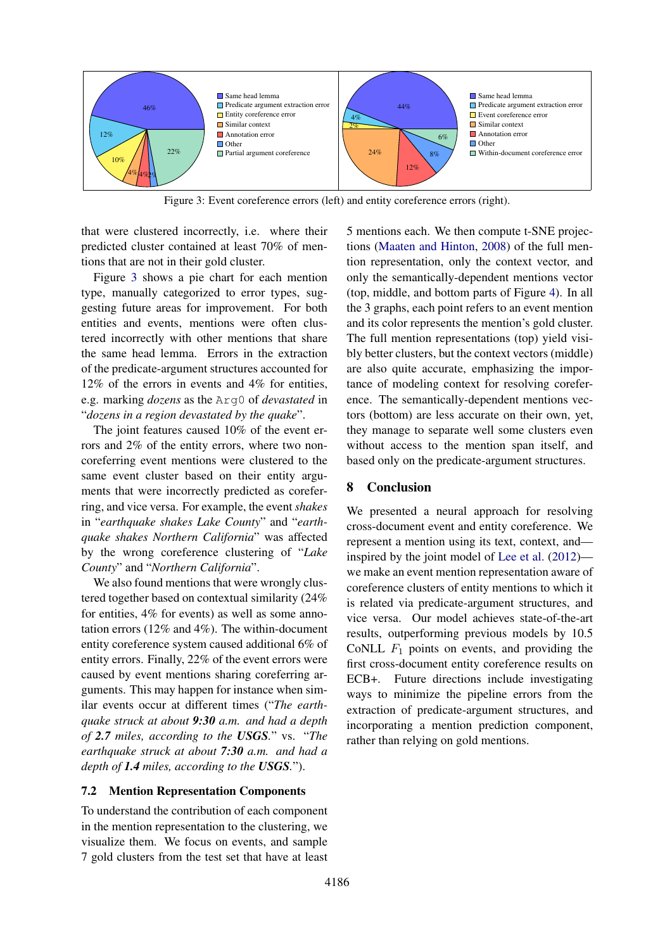<span id="page-7-0"></span>

Figure 3: Event coreference errors (left) and entity coreference errors (right).

that were clustered incorrectly, i.e. where their predicted cluster contained at least 70% of mentions that are not in their gold cluster.

Figure [3](#page-7-0) shows a pie chart for each mention type, manually categorized to error types, suggesting future areas for improvement. For both entities and events, mentions were often clustered incorrectly with other mentions that share the same head lemma. Errors in the extraction of the predicate-argument structures accounted for 12% of the errors in events and 4% for entities, e.g. marking *dozens* as the Arg0 of *devastated* in "*dozens in a region devastated by the quake*".

The joint features caused 10% of the event errors and 2% of the entity errors, where two noncoreferring event mentions were clustered to the same event cluster based on their entity arguments that were incorrectly predicted as coreferring, and vice versa. For example, the event *shakes* in "*earthquake shakes Lake County*" and "*earthquake shakes Northern California*" was affected by the wrong coreference clustering of "*Lake County*" and "*Northern California*".

We also found mentions that were wrongly clustered together based on contextual similarity (24% for entities, 4% for events) as well as some annotation errors (12% and 4%). The within-document entity coreference system caused additional 6% of entity errors. Finally, 22% of the event errors were caused by event mentions sharing coreferring arguments. This may happen for instance when similar events occur at different times ("*The earthquake struck at about 9:30 a.m. and had a depth of 2.7 miles, according to the USGS.*" vs. "*The earthquake struck at about 7:30 a.m. and had a depth of 1.4 miles, according to the USGS.*").

### 7.2 Mention Representation Components

To understand the contribution of each component in the mention representation to the clustering, we visualize them. We focus on events, and sample 7 gold clusters from the test set that have at least 5 mentions each. We then compute t-SNE projections [\(Maaten and Hinton,](#page-9-18) [2008\)](#page-9-18) of the full mention representation, only the context vector, and only the semantically-dependent mentions vector (top, middle, and bottom parts of Figure [4\)](#page-8-10). In all the 3 graphs, each point refers to an event mention and its color represents the mention's gold cluster. The full mention representations (top) yield visibly better clusters, but the context vectors (middle) are also quite accurate, emphasizing the importance of modeling context for resolving coreference. The semantically-dependent mentions vectors (bottom) are less accurate on their own, yet, they manage to separate well some clusters even without access to the mention span itself, and based only on the predicate-argument structures.

## 8 Conclusion

We presented a neural approach for resolving cross-document event and entity coreference. We represent a mention using its text, context, and inspired by the joint model of [Lee et al.](#page-9-0) [\(2012\)](#page-9-0) we make an event mention representation aware of coreference clusters of entity mentions to which it is related via predicate-argument structures, and vice versa. Our model achieves state-of-the-art results, outperforming previous models by 10.5 CoNLL  $F_1$  points on events, and providing the first cross-document entity coreference results on ECB+. Future directions include investigating ways to minimize the pipeline errors from the extraction of predicate-argument structures, and incorporating a mention prediction component, rather than relying on gold mentions.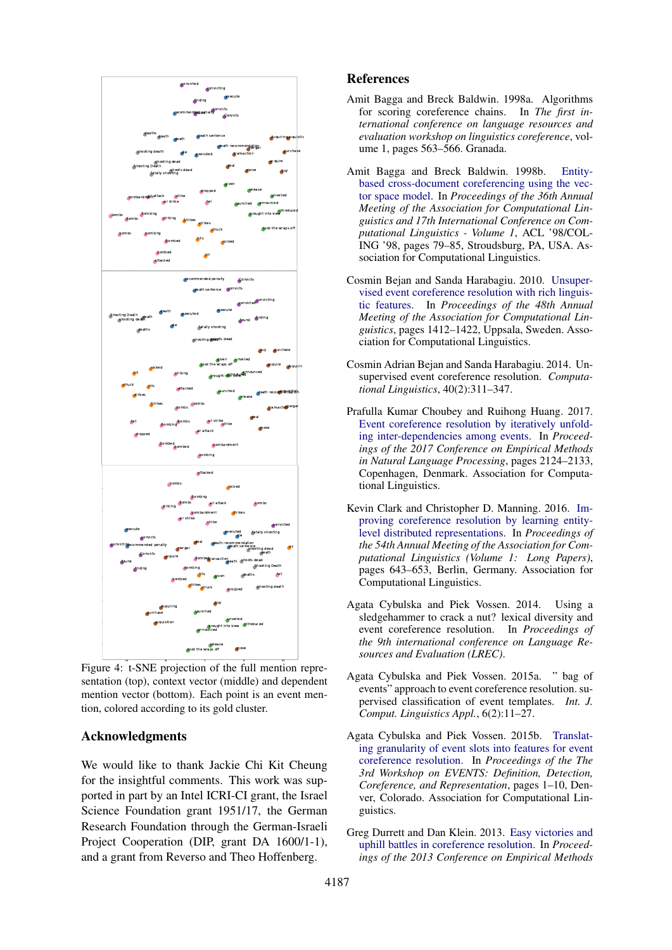<span id="page-8-10"></span>

Figure 4: t-SNE projection of the full mention representation (top), context vector (middle) and dependent mention vector (bottom). Each point is an event mention, colored according to its gold cluster.

### Acknowledgments

We would like to thank Jackie Chi Kit Cheung for the insightful comments. This work was supported in part by an Intel ICRI-CI grant, the Israel Science Foundation grant 1951/17, the German Research Foundation through the German-Israeli Project Cooperation (DIP, grant DA 1600/1-1), and a grant from Reverso and Theo Hoffenberg.

### References

- <span id="page-8-8"></span>Amit Bagga and Breck Baldwin. 1998a. Algorithms for scoring coreference chains. In *The first international conference on language resources and evaluation workshop on linguistics coreference*, volume 1, pages 563–566. Granada.
- <span id="page-8-4"></span>Amit Bagga and Breck Baldwin. 1998b. [Entity](https://doi.org/10.3115/980845.980859)[based cross-document coreferencing using the vec](https://doi.org/10.3115/980845.980859)[tor space model.](https://doi.org/10.3115/980845.980859) In *Proceedings of the 36th Annual Meeting of the Association for Computational Linguistics and 17th International Conference on Computational Linguistics - Volume 1*, ACL '98/COL-ING '98, pages 79–85, Stroudsburg, PA, USA. Association for Computational Linguistics.
- <span id="page-8-1"></span>Cosmin Bejan and Sanda Harabagiu. 2010. [Unsuper](http://www.aclweb.org/anthology/P10-1143)[vised event coreference resolution with rich linguis](http://www.aclweb.org/anthology/P10-1143)[tic features.](http://www.aclweb.org/anthology/P10-1143) In *Proceedings of the 48th Annual Meeting of the Association for Computational Linguistics*, pages 1412–1422, Uppsala, Sweden. Association for Computational Linguistics.
- <span id="page-8-5"></span>Cosmin Adrian Bejan and Sanda Harabagiu. 2014. Unsupervised event coreference resolution. *Computational Linguistics*, 40(2):311–347.
- <span id="page-8-6"></span>Prafulla Kumar Choubey and Ruihong Huang. 2017. [Event coreference resolution by iteratively unfold](https://www.aclweb.org/anthology/D17-1226)[ing inter-dependencies among events.](https://www.aclweb.org/anthology/D17-1226) In *Proceedings of the 2017 Conference on Empirical Methods in Natural Language Processing*, pages 2124–2133, Copenhagen, Denmark. Association for Computational Linguistics.
- <span id="page-8-3"></span>Kevin Clark and Christopher D. Manning. 2016. [Im](http://www.aclweb.org/anthology/P16-1061)[proving coreference resolution by learning entity](http://www.aclweb.org/anthology/P16-1061)[level distributed representations.](http://www.aclweb.org/anthology/P16-1061) In *Proceedings of the 54th Annual Meeting of the Association for Computational Linguistics (Volume 1: Long Papers)*, pages 643–653, Berlin, Germany. Association for Computational Linguistics.
- <span id="page-8-0"></span>Agata Cybulska and Piek Vossen. 2014. Using a sledgehammer to crack a nut? lexical diversity and event coreference resolution. In *Proceedings of the 9th international conference on Language Resources and Evaluation (LREC)*.
- <span id="page-8-9"></span>Agata Cybulska and Piek Vossen. 2015a. " bag of events" approach to event coreference resolution. supervised classification of event templates. *Int. J. Comput. Linguistics Appl.*, 6(2):11–27.
- <span id="page-8-7"></span>Agata Cybulska and Piek Vossen. 2015b. [Translat](http://www.aclweb.org/anthology/W15-0801)[ing granularity of event slots into features for event](http://www.aclweb.org/anthology/W15-0801) [coreference resolution.](http://www.aclweb.org/anthology/W15-0801) In *Proceedings of the The 3rd Workshop on EVENTS: Definition, Detection, Coreference, and Representation*, pages 1–10, Denver, Colorado. Association for Computational Linguistics.
- <span id="page-8-2"></span>Greg Durrett and Dan Klein. 2013. [Easy victories and](http://www.aclweb.org/anthology/D13-1203) [uphill battles in coreference resolution.](http://www.aclweb.org/anthology/D13-1203) In *Proceedings of the 2013 Conference on Empirical Methods*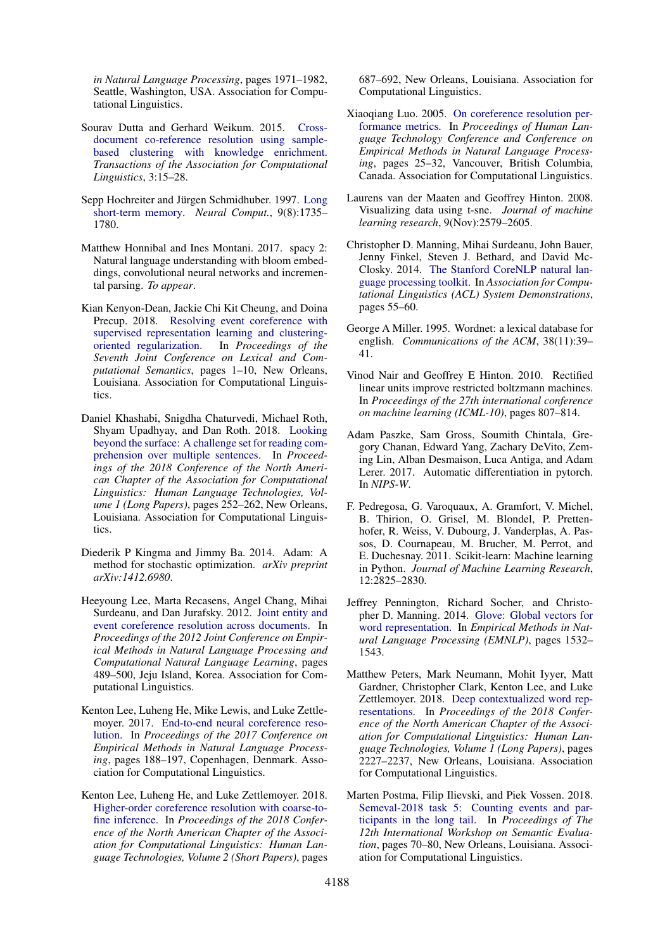*in Natural Language Processing*, pages 1971–1982, Seattle, Washington, USA. Association for Computational Linguistics.

- <span id="page-9-5"></span>Sourav Dutta and Gerhard Weikum. 2015. [Cross](https://www.transacl.org/ojs/index.php/tacl/article/view/522)[document co-reference resolution using sample](https://www.transacl.org/ojs/index.php/tacl/article/view/522)[based clustering with knowledge enrichment.](https://www.transacl.org/ojs/index.php/tacl/article/view/522) *Transactions of the Association for Computational Linguistics*, 3:15–28.
- <span id="page-9-7"></span>Sepp Hochreiter and Jürgen Schmidhuber. 1997. [Long](https://doi.org/10.1162/neco.1997.9.8.1735) [short-term memory.](https://doi.org/10.1162/neco.1997.9.8.1735) *Neural Comput.*, 9(8):1735– 1780.
- <span id="page-9-16"></span>Matthew Honnibal and Ines Montani. 2017. spacy 2: Natural language understanding with bloom embeddings, convolutional neural networks and incremental parsing. *To appear*.
- <span id="page-9-3"></span>Kian Kenyon-Dean, Jackie Chi Kit Cheung, and Doina Precup. 2018. [Resolving event coreference with](http://www.aclweb.org/anthology/S18-2001) [supervised representation learning and clustering](http://www.aclweb.org/anthology/S18-2001)[oriented regularization.](http://www.aclweb.org/anthology/S18-2001) In *Proceedings of the Seventh Joint Conference on Lexical and Computational Semantics*, pages 1–10, New Orleans, Louisiana. Association for Computational Linguistics.
- <span id="page-9-1"></span>Daniel Khashabi, Snigdha Chaturvedi, Michael Roth, Shyam Upadhyay, and Dan Roth. 2018. [Looking](http://www.aclweb.org/anthology/N18-1023) [beyond the surface: A challenge set for reading com](http://www.aclweb.org/anthology/N18-1023)[prehension over multiple sentences.](http://www.aclweb.org/anthology/N18-1023) In *Proceedings of the 2018 Conference of the North American Chapter of the Association for Computational Linguistics: Human Language Technologies, Volume 1 (Long Papers)*, pages 252–262, New Orleans, Louisiana. Association for Computational Linguistics.
- <span id="page-9-11"></span>Diederik P Kingma and Jimmy Ba. 2014. Adam: A method for stochastic optimization. *arXiv preprint arXiv:1412.6980*.
- <span id="page-9-0"></span>Heeyoung Lee, Marta Recasens, Angel Chang, Mihai Surdeanu, and Dan Jurafsky. 2012. [Joint entity and](http://www.aclweb.org/anthology/D12-1045) [event coreference resolution across documents.](http://www.aclweb.org/anthology/D12-1045) In *Proceedings of the 2012 Joint Conference on Empirical Methods in Natural Language Processing and Computational Natural Language Learning*, pages 489–500, Jeju Island, Korea. Association for Computational Linguistics.
- <span id="page-9-4"></span>Kenton Lee, Luheng He, Mike Lewis, and Luke Zettlemoyer. 2017. [End-to-end neural coreference reso](https://www.aclweb.org/anthology/D17-1018)[lution.](https://www.aclweb.org/anthology/D17-1018) In *Proceedings of the 2017 Conference on Empirical Methods in Natural Language Processing*, pages 188–197, Copenhagen, Denmark. Association for Computational Linguistics.
- <span id="page-9-9"></span>Kenton Lee, Luheng He, and Luke Zettlemoyer. 2018. [Higher-order coreference resolution with coarse-to](http://www.aclweb.org/anthology/N18-2108)[fine inference.](http://www.aclweb.org/anthology/N18-2108) In *Proceedings of the 2018 Conference of the North American Chapter of the Association for Computational Linguistics: Human Language Technologies, Volume 2 (Short Papers)*, pages

687–692, New Orleans, Louisiana. Association for Computational Linguistics.

- <span id="page-9-17"></span>Xiaoqiang Luo. 2005. [On coreference resolution per](http://www.aclweb.org/anthology/H/H05/H05-1004)[formance metrics.](http://www.aclweb.org/anthology/H/H05/H05-1004) In *Proceedings of Human Language Technology Conference and Conference on Empirical Methods in Natural Language Processing*, pages 25–32, Vancouver, British Columbia, Canada. Association for Computational Linguistics.
- <span id="page-9-18"></span>Laurens van der Maaten and Geoffrey Hinton. 2008. Visualizing data using t-sne. *Journal of machine learning research*, 9(Nov):2579–2605.
- <span id="page-9-15"></span>Christopher D. Manning, Mihai Surdeanu, John Bauer, Jenny Finkel, Steven J. Bethard, and David Mc-Closky. 2014. [The Stanford CoreNLP natural lan](http://www.aclweb.org/anthology/P/P14/P14-5010)[guage processing toolkit.](http://www.aclweb.org/anthology/P/P14/P14-5010) In *Association for Computational Linguistics (ACL) System Demonstrations*, pages 55–60.
- <span id="page-9-6"></span>George A Miller. 1995. Wordnet: a lexical database for english. *Communications of the ACM*, 38(11):39– 41.
- <span id="page-9-13"></span>Vinod Nair and Geoffrey E Hinton. 2010. Rectified linear units improve restricted boltzmann machines. In *Proceedings of the 27th international conference on machine learning (ICML-10)*, pages 807–814.
- <span id="page-9-10"></span>Adam Paszke, Sam Gross, Soumith Chintala, Gregory Chanan, Edward Yang, Zachary DeVito, Zeming Lin, Alban Desmaison, Luca Antiga, and Adam Lerer. 2017. Automatic differentiation in pytorch. In *NIPS-W*.
- <span id="page-9-14"></span>F. Pedregosa, G. Varoquaux, A. Gramfort, V. Michel, B. Thirion, O. Grisel, M. Blondel, P. Prettenhofer, R. Weiss, V. Dubourg, J. Vanderplas, A. Passos, D. Cournapeau, M. Brucher, M. Perrot, and E. Duchesnay. 2011. Scikit-learn: Machine learning in Python. *Journal of Machine Learning Research*, 12:2825–2830.
- <span id="page-9-12"></span>Jeffrey Pennington, Richard Socher, and Christopher D. Manning. 2014. [Glove: Global vectors for](http://www.aclweb.org/anthology/D14-1162) [word representation.](http://www.aclweb.org/anthology/D14-1162) In *Empirical Methods in Natural Language Processing (EMNLP)*, pages 1532– 1543.
- <span id="page-9-8"></span>Matthew Peters, Mark Neumann, Mohit Iyyer, Matt Gardner, Christopher Clark, Kenton Lee, and Luke Zettlemoyer. 2018. [Deep contextualized word rep](http://www.aclweb.org/anthology/N18-1202)[resentations.](http://www.aclweb.org/anthology/N18-1202) In *Proceedings of the 2018 Conference of the North American Chapter of the Association for Computational Linguistics: Human Language Technologies, Volume 1 (Long Papers)*, pages 2227–2237, New Orleans, Louisiana. Association for Computational Linguistics.
- <span id="page-9-2"></span>Marten Postma, Filip Ilievski, and Piek Vossen. 2018. [Semeval-2018 task 5: Counting events and par](http://www.aclweb.org/anthology/S18-1009)[ticipants in the long tail.](http://www.aclweb.org/anthology/S18-1009) In *Proceedings of The 12th International Workshop on Semantic Evaluation*, pages 70–80, New Orleans, Louisiana. Association for Computational Linguistics.